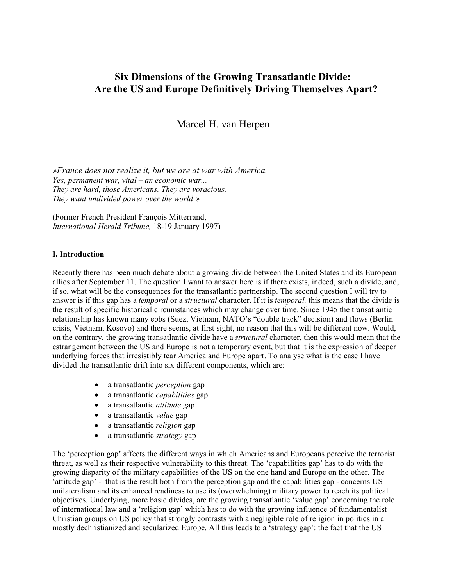# **Six Dimensions of the Growing Transatlantic Divide: Are the US and Europe Definitively Driving Themselves Apart?**

Marcel H. van Herpen

*»France does not realize it, but we are at war with America. Yes, permanent war, vital – an economic war... They are hard, those Americans. They are voracious. They want undivided power over the world »*

(Former French President François Mitterrand, *International Herald Tribune,* 18-19 January 1997)

# **I. Introduction**

Recently there has been much debate about a growing divide between the United States and its European allies after September 11. The question I want to answer here is if there exists, indeed, such a divide, and, if so, what will be the consequences for the transatlantic partnership. The second question I will try to answer is if this gap has a *temporal* or a *structural* character. If it is *temporal,* this means that the divide is the result of specific historical circumstances which may change over time. Since 1945 the transatlantic relationship has known many ebbs (Suez, Vietnam, NATO's "double track" decision) and flows (Berlin crisis, Vietnam, Kosovo) and there seems, at first sight, no reason that this will be different now. Would, on the contrary, the growing transatlantic divide have a *structural* character, then this would mean that the estrangement between the US and Europe is not a temporary event, but that it is the expression of deeper underlying forces that irresistibly tear America and Europe apart. To analyse what is the case I have divided the transatlantic drift into six different components, which are:

- a transatlantic *perception* gap
- a transatlantic *capabilities* gap
- a transatlantic *attitude* gap
- a transatlantic *value* gap
- a transatlantic *religion* gap
- a transatlantic *strategy* gap

The 'perception gap' affects the different ways in which Americans and Europeans perceive the terrorist threat, as well as their respective vulnerability to this threat. The 'capabilities gap' has to do with the growing disparity of the military capabilities of the US on the one hand and Europe on the other. The 'attitude gap' - that is the result both from the perception gap and the capabilities gap - concerns US unilateralism and its enhanced readiness to use its (overwhelming) military power to reach its political objectives. Underlying, more basic divides, are the growing transatlantic 'value gap' concerning the role of international law and a 'religion gap' which has to do with the growing influence of fundamentalist Christian groups on US policy that strongly contrasts with a negligible role of religion in politics in a mostly dechristianized and secularized Europe. All this leads to a 'strategy gap': the fact that the US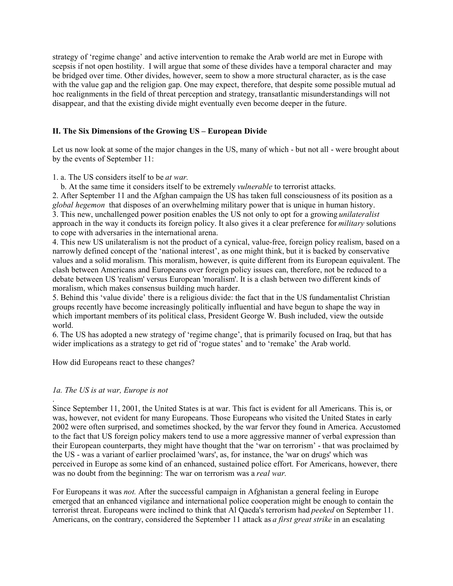strategy of 'regime change' and active intervention to remake the Arab world are met in Europe with scepsis if not open hostility. I will argue that some of these divides have a temporal character and may be bridged over time. Other divides, however, seem to show a more structural character, as is the case with the value gap and the religion gap. One may expect, therefore, that despite some possible mutual ad hoc realignments in the field of threat perception and strategy, transatlantic misunderstandings will not disappear, and that the existing divide might eventually even become deeper in the future.

# **II. The Six Dimensions of the Growing US – European Divide**

Let us now look at some of the major changes in the US, many of which - but not all - were brought about by the events of September 11:

# 1. a. The US considers itself to be *at war.*

b. At the same time it considers itself to be extremely *vulnerable* to terrorist attacks.

2. After September 11 and the Afghan campaign the US has taken full consciousness of its position as a *global hegemon* that disposes of an overwhelming military power that is unique in human history. 3. This new, unchallenged power position enables the US not only to opt for a growing *unilateralist* approach in the way it conducts its foreign policy. It also gives it a clear preference for *military* solutions to cope with adversaries in the international arena.

4. This new US unilateralism is not the product of a cynical, value-free, foreign policy realism, based on a narrowly defined concept of the 'national interest', as one might think, but it is backed by conservative values and a solid moralism. This moralism, however, is quite different from its European equivalent. The clash between Americans and Europeans over foreign policy issues can, therefore, not be reduced to a debate between US 'realism' versus European 'moralism'. It is a clash between two different kinds of moralism, which makes consensus building much harder.

5. Behind this 'value divide' there is a religious divide: the fact that in the US fundamentalist Christian groups recently have become increasingly politically influential and have begun to shape the way in which important members of its political class, President George W. Bush included, view the outside world.

6. The US has adopted a new strategy of 'regime change', that is primarily focused on Iraq, but that has wider implications as a strategy to get rid of 'rogue states' and to 'remake' the Arab world.

How did Europeans react to these changes?

# *1a. The US is at war, Europe is not*

.

Since September 11, 2001, the United States is at war. This fact is evident for all Americans. This is, or was, however, not evident for many Europeans. Those Europeans who visited the United States in early 2002 were often surprised, and sometimes shocked, by the war fervor they found in America. Accustomed to the fact that US foreign policy makers tend to use a more aggressive manner of verbal expression than their European counterparts, they might have thought that the 'war on terrorism' - that was proclaimed by the US - was a variant of earlier proclaimed 'wars', as, for instance, the 'war on drugs' which was perceived in Europe as some kind of an enhanced, sustained police effort. For Americans, however, there was no doubt from the beginning: The war on terrorism was a *real war.*

For Europeans it was *not.* After the successful campaign in Afghanistan a general feeling in Europe emerged that an enhanced vigilance and international police cooperation might be enough to contain the terrorist threat. Europeans were inclined to think that Al Qaeda's terrorism had *peeked* on September 11. Americans, on the contrary, considered the September 11 attack as *a first great strike* in an escalating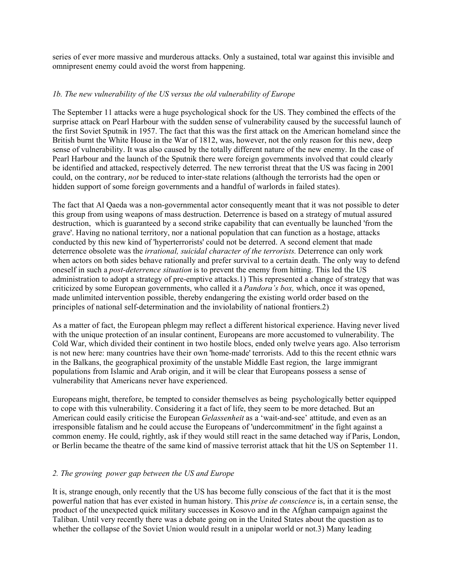series of ever more massive and murderous attacks. Only a sustained, total war against this invisible and omnipresent enemy could avoid the worst from happening.

# *1b. The new vulnerability of the US versus the old vulnerability of Europe*

The September 11 attacks were a huge psychological shock for the US. They combined the effects of the surprise attack on Pearl Harbour with the sudden sense of vulnerability caused by the successful launch of the first Soviet Sputnik in 1957. The fact that this was the first attack on the American homeland since the British burnt the White House in the War of 1812, was, however, not the only reason for this new, deep sense of vulnerability. It was also caused by the totally different nature of the new enemy. In the case of Pearl Harbour and the launch of the Sputnik there were foreign governments involved that could clearly be identified and attacked, respectively deterred. The new terrorist threat that the US was facing in 2001 could, on the contrary, *not* be reduced to inter-state relations (although the terrorists had the open or hidden support of some foreign governments and a handful of warlords in failed states).

The fact that Al Qaeda was a non-governmental actor consequently meant that it was not possible to deter this group from using weapons of mass destruction. Deterrence is based on a strategy of mutual assured destruction, which is guaranteed by a second strike capability that can eventually be launched 'from the grave'. Having no national territory, nor a national population that can function as a hostage, attacks conducted by this new kind of 'hyperterrorists' could not be deterred. A second element that made deterrence obsolete was the *irrational, suicidal character of the terrorists.* Deterrence can only work when actors on both sides behave rationally and prefer survival to a certain death. The only way to defend oneself in such a *post-deterrence situation* is to prevent the enemy from hitting. This led the US administration to adopt a strategy of pre-emptive attacks.1) This represented a change of strategy that was criticized by some European governments, who called it a *Pandora's box,* which, once it was opened, made unlimited intervention possible, thereby endangering the existing world order based on the principles of national self-determination and the inviolability of national frontiers.2)

As a matter of fact, the European phlegm may reflect a different historical experience. Having never lived with the unique protection of an insular continent, Europeans are more accustomed to vulnerability. The Cold War, which divided their continent in two hostile blocs, ended only twelve years ago. Also terrorism is not new here: many countries have their own 'home-made' terrorists. Add to this the recent ethnic wars in the Balkans, the geographical proximity of the unstable Middle East region, the large immigrant populations from Islamic and Arab origin, and it will be clear that Europeans possess a sense of vulnerability that Americans never have experienced.

Europeans might, therefore, be tempted to consider themselves as being psychologically better equipped to cope with this vulnerability. Considering it a fact of life, they seem to be more detached. But an American could easily criticise the European *Gelassenheit* as a 'wait-and-see' attitude, and even as an irresponsible fatalism and he could accuse the Europeans of 'undercommitment' in the fight against a common enemy. He could, rightly, ask if they would still react in the same detached way if Paris, London, or Berlin became the theatre of the same kind of massive terrorist attack that hit the US on September 11.

# *2. The growing power gap between the US and Europe*

It is, strange enough, only recently that the US has become fully conscious of the fact that it is the most powerful nation that has ever existed in human history. This *prise de conscience* is, in a certain sense, the product of the unexpected quick military successes in Kosovo and in the Afghan campaign against the Taliban. Until very recently there was a debate going on in the United States about the question as to whether the collapse of the Soviet Union would result in a unipolar world or not. 3) Many leading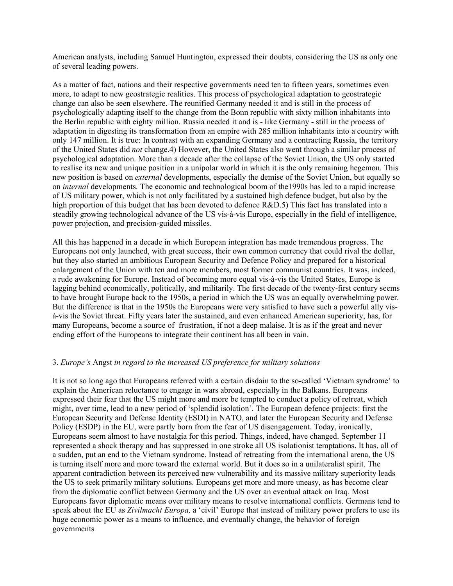American analysts, including Samuel Huntington, expressed their doubts, considering the US as only one of several leading powers.

As a matter of fact, nations and their respective governments need ten to fifteen years, sometimes even more, to adapt to new geostrategic realities. This process of psychological adaptation to geostrategic change can also be seen elsewhere. The reunified Germany needed it and is still in the process of psychologically adapting itself to the change from the Bonn republic with sixty million inhabitants into the Berlin republic with eighty million. Russia needed it and is - like Germany - still in the process of adaptation in digesting its transformation from an empire with 285 million inhabitants into a country with only 147 million. It is true: In contrast with an expanding Germany and a contracting Russia, the territory of the United States did *not* change.4) However, the United States also went through a similar process of psychological adaptation. More than a decade after the collapse of the Soviet Union, the US only started to realise its new and unique position in a unipolar world in which it is the only remaining hegemon. This new position is based on *external* developments, especially the demise of the Soviet Union, but equally so on *internal* developments. The economic and technological boom of the1990s has led to a rapid increase of US military power, which is not only facilitated by a sustained high defence budget, but also by the high proportion of this budget that has been devoted to defence R&D.5) This fact has translated into a steadily growing technological advance of the US vis-à-vis Europe, especially in the field of intelligence, power projection, and precision-guided missiles.

All this has happened in a decade in which European integration has made tremendous progress. The Europeans not only launched, with great success, their own common currency that could rival the dollar, but they also started an ambitious European Security and Defence Policy and prepared for a historical enlargement of the Union with ten and more members, most former communist countries. It was, indeed, a rude awakening for Europe. Instead of becoming more equal vis-à-vis the United States, Europe is lagging behind economically, politically, and militarily. The first decade of the twenty-first century seems to have brought Europe back to the 1950s, a period in which the US was an equally overwhelming power. But the difference is that in the 1950s the Europeans were very satisfied to have such a powerful ally visà-vis the Soviet threat. Fifty years later the sustained, and even enhanced American superiority, has, for many Europeans, become a source of frustration, if not a deep malaise. It is as if the great and never ending effort of the Europeans to integrate their continent has all been in vain.

# 3. *Europe's* Angst *in regard to the increased US preference for military solutions*

It is not so long ago that Europeans referred with a certain disdain to the so-called 'Vietnam syndrome' to explain the American reluctance to engage in wars abroad, especially in the Balkans. Europeans expressed their fear that the US might more and more be tempted to conduct a policy of retreat, which might, over time, lead to a new period of 'splendid isolation'. The European defence projects: first the European Security and Defense Identity (ESDI) in NATO, and later the European Security and Defense Policy (ESDP) in the EU, were partly born from the fear of US disengagement. Today, ironically, Europeans seem almost to have nostalgia for this period. Things, indeed, have changed. September 11 represented a shock therapy and has suppressed in one stroke all US isolationist temptations. It has, all of a sudden, put an end to the Vietnam syndrome. Instead of retreating from the international arena, the US is turning itself more and more toward the external world. But it does so in a unilateralist spirit. The apparent contradiction between its perceived new vulnerability and its massive military superiority leads the US to seek primarily military solutions. Europeans get more and more uneasy, as has become clear from the diplomatic conflict between Germany and the US over an eventual attack on Iraq. Most Europeans favor diplomatic means over military means to resolve international conflicts. Germans tend to speak about the EU as *Zivilmacht Europa,* a 'civil' Europe that instead of military power prefers to use its huge economic power as a means to influence, and eventually change, the behavior of foreign governments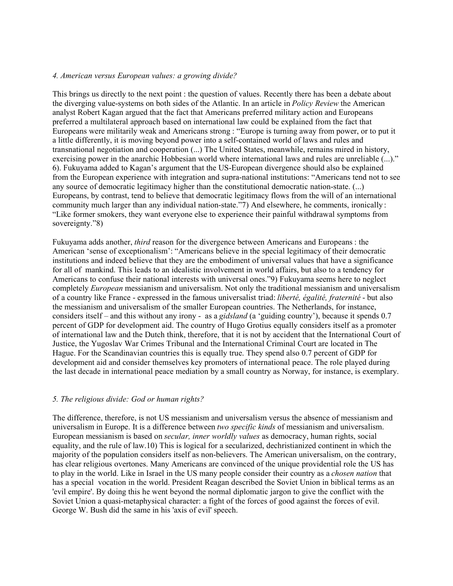#### *4. American versus European values: a growing divide?*

This brings us directly to the next point : the question of values. Recently there has been a debate about the diverging value-systems on both sides of the Atlantic. In an article in *Policy Review* the American analyst Robert Kagan argued that the fact that Americans preferred military action and Europeans preferred a multilateral approach based on international law could be explained from the fact that Europeans were militarily weak and Americans strong : "Europe is turning away from power, or to put it a little differently, it is moving beyond power into a self-contained world of laws and rules and transnational negotiation and cooperation (...) The United States, meanwhile, remains mired in history, exercising power in the anarchic Hobbesian world where international laws and rules are unreliable (...)." 6). Fukuyama added to Kagan's argument that the US-European divergence should also be explained from the European experience with integration and supra-national institutions: "Americans tend not to see any source of democratic legitimacy higher than the constitutional democratic nation-state. (...) Europeans, by contrast, tend to believe that democratic legitimacy flows from the will of an international community much larger than any individual nation-state."7) And elsewhere, he comments, ironically : "Like former smokers, they want everyone else to experience their painful withdrawal symptoms from sovereignty."8)

Fukuyama adds another, *third* reason for the divergence between Americans and Europeans : the American 'sense of exceptionalism': "Americans believe in the special legitimacy of their democratic institutions and indeed believe that they are the embodiment of universal values that have a significance for all of mankind. This leads to an idealistic involvement in world affairs, but also to a tendency for Americans to confuse their national interests with universal ones."9) Fukuyama seems here to neglect completely *European* messianism and universalism. Not only the traditional messianism and universalism of a country like France - expressed in the famous universalist triad: *liberté, égalité, fraternité* - but also the messianism and universalism of the smaller European countries. The Netherlands, for instance, considers itself – and this without any irony - as a *gidsland* (a 'guiding country'), because it spends 0.7 percent of GDP for development aid. The country of Hugo Grotius equally considers itself as a promoter of international law and the Dutch think, therefore, that it is not by accident that the International Court of Justice, the Yugoslav War Crimes Tribunal and the International Criminal Court are located in The Hague. For the Scandinavian countries this is equally true. They spend also 0.7 percent of GDP for development aid and consider themselves key promoters of international peace. The role played during the last decade in international peace mediation by a small country as Norway, for instance, is exemplary.

# *5. The religious divide: God or human rights?*

The difference, therefore, is not US messianism and universalism versus the absence of messianism and universalism in Europe. It is a difference between *two specific kinds* of messianism and universalism. European messianism is based on *secular, inner worldly values* as democracy, human rights, social equality, and the rule of law.10) This is logical for a secularized, dechristianized continent in which the majority of the population considers itself as non-believers. The American universalism, on the contrary, has clear religious overtones. Many Americans are convinced of the unique providential role the US has to play in the world. Like in Israel in the US many people consider their country as a *chosen nation* that has a special vocation in the world. President Reagan described the Soviet Union in biblical terms as an 'evil empire'. By doing this he went beyond the normal diplomatic jargon to give the conflict with the Soviet Union a quasi-metaphysical character: a fight of the forces of good against the forces of evil. George W. Bush did the same in his 'axis of evil' speech.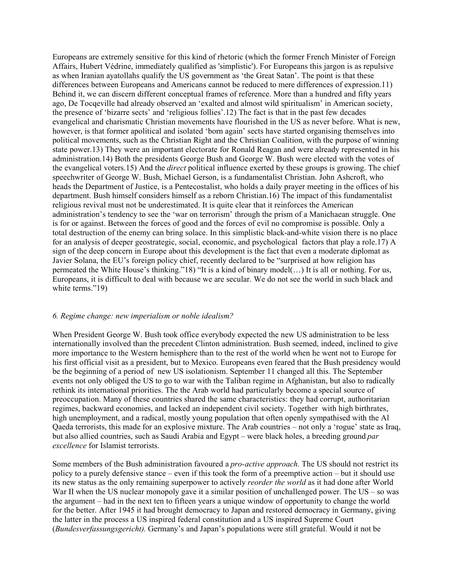Europeans are extremely sensitive for this kind of rhetoric (which the former French Minister of Foreign Affairs, Hubert Védrine, immediately qualified as 'simplistic'). For Europeans this jargon is as repulsive as when Iranian ayatollahs qualify the US government as 'the Great Satan'. The point is that these differences between Europeans and Americans cannot be reduced to mere differences of expression.11) Behind it, we can discern different conceptual frames of reference. More than a hundred and fifty years ago, De Tocqeville had already observed an 'exalted and almost wild spiritualism' in American society, the presence of 'bizarre sects' and 'religious follies'.12) The fact is that in the past few decades evangelical and charismatic Christian movements have flourished in the US as never before. What is new, however, is that former apolitical and isolated 'born again' sects have started organising themselves into political movements, such as the Christian Right and the Christian Coalition, with the purpose of winning state power.13) They were an important electorate for Ronald Reagan and were already represented in his administration.14) Both the presidents George Bush and George W. Bush were elected with the votes of the evangelical voters.15) And the *direct* political influence exerted by these groups is growing. The chief speechwriter of George W. Bush, Michael Gerson, is a fundamentalist Christian. John Ashcroft, who heads the Department of Justice, is a Pentecostalist, who holds a daily prayer meeting in the offices of his department. Bush himself considers himself as a reborn Christian.16) The impact of this fundamentalist religious revival must not be underestimated. It is quite clear that it reinforces the American administration's tendency to see the 'war on terrorism' through the prism of a Manichaean struggle. One is for or against. Between the forces of good and the forces of evil no compromise is possible. Only a total destruction of the enemy can bring solace. In this simplistic black-and-white vision there is no place for an analysis of deeper geostrategic, social, economic, and psychological factors that play a role.17) A sign of the deep concern in Europe about this development is the fact that even a moderate diplomat as Javier Solana, the EU's foreign policy chief, recently declared to be "surprised at how religion has permeated the White House's thinking."18) "It is a kind of binary model(…) It is all or nothing. For us, Europeans, it is difficult to deal with because we are secular. We do not see the world in such black and white terms."19)

#### *6. Regime change: new imperialism or noble idealism?*

When President George W. Bush took office everybody expected the new US administration to be less internationally involved than the precedent Clinton administration. Bush seemed, indeed, inclined to give more importance to the Western hemisphere than to the rest of the world when he went not to Europe for his first official visit as a president, but to Mexico. Europeans even feared that the Bush presidency would be the beginning of a period of new US isolationism. September 11 changed all this. The September events not only obliged the US to go to war with the Taliban regime in Afghanistan, but also to radically rethink its international priorities. The the Arab world had particularly become a special source of preoccupation. Many of these countries shared the same characteristics: they had corrupt, authoritarian regimes, backward economies, and lacked an independent civil society. Together with high birthrates, high unemployment, and a radical, mostly young population that often openly sympathised with the Al Qaeda terrorists, this made for an explosive mixture. The Arab countries – not only a 'rogue' state as Iraq, but also allied countries, such as Saudi Arabia and Egypt – were black holes, a breeding ground *par excellence* for Islamist terrorists.

Some members of the Bush administration favoured a *pro-active approach.* The US should not restrict its policy to a purely defensive stance – even if this took the form of a preemptive action – but it should use its new status as the only remaining superpower to actively *reorder the world* as it had done after World War II when the US nuclear monopoly gave it a similar position of unchallenged power. The  $US - so$  was the argument – had in the next ten to fifteen years a unique window of opportunity to change the world for the better. After 1945 it had brought democracy to Japan and restored democracy in Germany, giving the latter in the process a US inspired federal constitution and a US inspired Supreme Court (*Bundesverfassungsgericht).* Germany's and Japan's populations were still grateful. Would it not be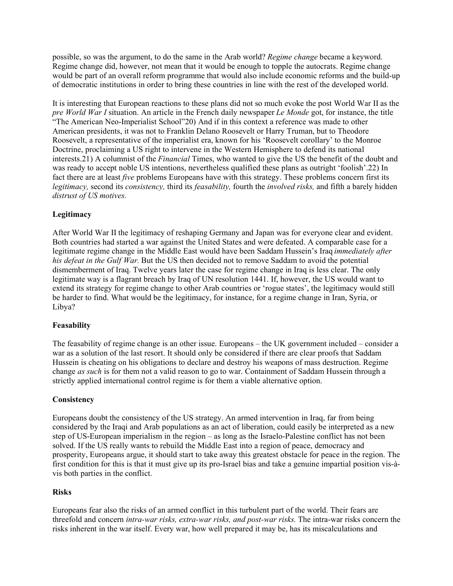possible, so was the argument, to do the same in the Arab world? *Regime change* became a keyword. Regime change did, however, not mean that it would be enough to topple the autocrats. Regime change would be part of an overall reform programme that would also include economic reforms and the build-up of democratic institutions in order to bring these countries in line with the rest of the developed world.

It is interesting that European reactions to these plans did not so much evoke the post World War II as the *pre World War I* situation. An article in the French daily newspaper *Le Monde* got, for instance, the title "The American Neo-Imperialist School"20) And if in this context a reference was made to other American presidents, it was not to Franklin Delano Roosevelt or Harry Truman, but to Theodore Roosevelt, a representative of the imperialist era, known for his 'Roosevelt corollary' to the Monroe Doctrine, proclaiming a US right to intervene in the Western Hemisphere to defend its national interests.21) A columnist of the *Financial* Times, who wanted to give the US the benefit of the doubt and was ready to accept noble US intentions, nevertheless qualified these plans as outright 'foolish'.22) In fact there are at least *five* problems Europeans have with this strategy. These problems concern first its *legitimacy,* second its *consistency,* third its *feasability,* fourth the *involved risks,* and fifth a barely hidden *distrust of US motives.*

# **Legitimacy**

After World War II the legitimacy of reshaping Germany and Japan was for everyone clear and evident. Both countries had started a war against the United States and were defeated. A comparable case for a legitimate regime change in the Middle East would have been Saddam Hussein's Iraq *immediately after his defeat in the Gulf War.* But the US then decided not to remove Saddam to avoid the potential dismemberment of Iraq. Twelve years later the case for regime change in Iraq is less clear. The only legitimate way is a flagrant breach by Iraq of UN resolution 1441. If, however, the US would want to extend its strategy for regime change to other Arab countries or 'rogue states', the legitimacy would still be harder to find. What would be the legitimacy, for instance, for a regime change in Iran, Syria, or Libya?

# **Feasability**

The feasability of regime change is an other issue. Europeans – the UK government included – consider a war as a solution of the last resort. It should only be considered if there are clear proofs that Saddam Hussein is cheating on his obligations to declare and destroy his weapons of mass destruction. Regime change *as such* is for them not a valid reason to go to war. Containment of Saddam Hussein through a strictly applied international control regime is for them a viable alternative option.

#### **Consistency**

Europeans doubt the consistency of the US strategy. An armed intervention in Iraq, far from being considered by the Iraqi and Arab populations as an act of liberation, could easily be interpreted as a new step of US-European imperialism in the region – as long as the Israelo-Palestine conflict has not been solved. If the US really wants to rebuild the Middle East into a region of peace, democracy and prosperity, Europeans argue, it should start to take away this greatest obstacle for peace in the region. The first condition for this is that it must give up its pro-Israel bias and take a genuine impartial position vis-àvis both parties in the conflict.

#### **Risks**

Europeans fear also the risks of an armed conflict in this turbulent part of the world. Their fears are threefold and concern *intra-war risks, extra-war risks, and post-war risks.* The intra-war risks concern the risks inherent in the war itself. Every war, how well prepared it may be, has its miscalculations and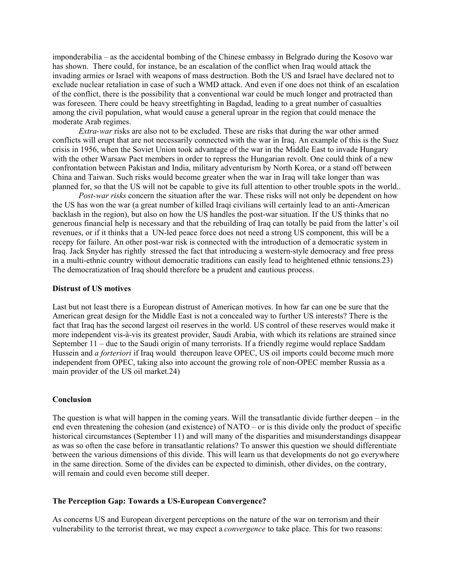imponderabilia – as the accidental bombing of the Chinese embassy in Belgrado during the Kosovo war has shown. There could, for instance, be an escalation of the conflict when Iraq would attack the invading armies or Israel with weapons of mass destruction. Both the US and Israel have declared not to exclude nuclear retaliation in case of such a WMD attack. And even if one does not think of an escalation of the conflict, there is the possibility that a conventional war could be much longer and protracted than was foreseen. There could be heavy streetfighting in Bagdad, leading to a great number of casualties among the civil population, what would cause a general uproar in the region that could menace the moderate Arab regimes.

*Extra-war* risks are also not to be excluded. These are risks that during the war other armed conflicts will erupt that are not necessarily connected with the war in Iraq. An example of this is the Suez crisis in 1956, when the Soviet Union took advantage of the war in the Middle East to invade Hungary with the other Warsaw Pact members in order to repress the Hungarian revolt. One could think of a new confrontation between Pakistan and India, military adventurism by North Korea, or a stand off between China and Taiwan. Such risks would become greater when the war in Iraq will take longer than was planned for, so that the US will not be capable to give its full attention to other trouble spots in the world..

*Post-war risks* concern the situation after the war. These risks will not only be dependent on how the US has won the war (a great number of killed Iraqi civilians will certainly lead to an anti-American backlash in the region), but also on how the US handles the post-war situation. If the US thinks that no generous financial help is necessary and that the rebuilding of Iraq can totally be paid from the latter's oil revenues, or if it thinks that a UN-led peace force does not need a strong US component, this will be a recepy for failure. An other post-war risk is connected with the introduction of a democratic system in Iraq. Jack Snyder has rightly stressed the fact that introducing a western-style democracy and free press in a multi-ethnic country without democratic traditions can easily lead to heightened ethnic tensions.23) The democratization of Iraq should therefore be a prudent and cautious process.

#### **Distrust of US motives**

Last but not least there is a European distrust of American motives. In how far can one be sure that the American great design for the Middle East is not a concealed way to further US interests? There is the fact that Iraq has the second largest oil reserves in the world. US control of these reserves would make it more independent vis-à-vis its greatest provider, Saudi Arabia, with which its relations are strained since September 11 – due to the Saudi origin of many terrorists. If a friendly regime would replace Saddam Hussein and *a forteriori* if Iraq would thereupon leave OPEC, US oil imports could become much more independent from OPEC, taking also into account the growing role of non-OPEC member Russia as a main provider of the US oil market.24)

#### **Conclusion**

The question is what will happen in the coming years. Will the transatlantic divide further deepen – in the end even threatening the cohesion (and existence) of NATO – or is this divide only the product of specific historical circumstances (September 11) and will many of the disparities and misunderstandings disappear as was so often the case before in transatlantic relations? To answer this question we should differentiate between the various dimensions of this divide. This will learn us that developments do not go everywhere in the same direction. Some of the divides can be expected to diminish, other divides, on the contrary, will remain and could even become still deeper.

#### **The Perception Gap: Towards a US-European Convergence?**

As concerns US and European divergent perceptions on the nature of the war on terrorism and their vulnerability to the terrorist threat, we may expect a *convergence* to take place. This for two reasons: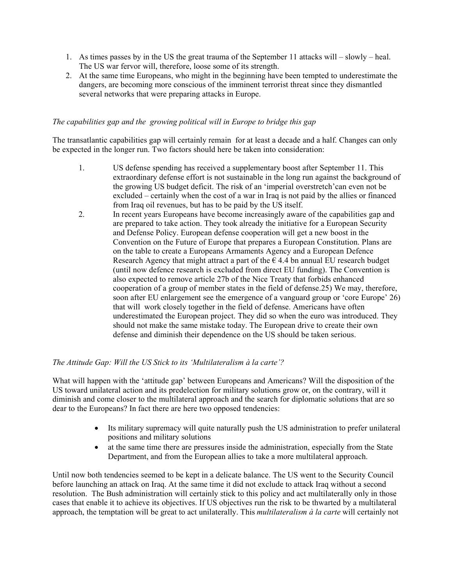- 1. As times passes by in the US the great trauma of the September 11 attacks will slowly heal. The US war fervor will, therefore, loose some of its strength.
- 2. At the same time Europeans, who might in the beginning have been tempted to underestimate the dangers, are becoming more conscious of the imminent terrorist threat since they dismantled several networks that were preparing attacks in Europe.

# *The capabilities gap and the growing political will in Europe to bridge this gap*

The transatlantic capabilities gap will certainly remain for at least a decade and a half. Changes can only be expected in the longer run. Two factors should here be taken into consideration:

- 1. US defense spending has received a supplementary boost after September 11. This extraordinary defense effort is not sustainable in the long run against the background of the growing US budget deficit. The risk of an 'imperial overstretch'can even not be excluded – certainly when the cost of a war in Iraq is not paid by the allies or financed from Iraq oil revenues, but has to be paid by the US itself.
- 2. In recent years Europeans have become increasingly aware of the capabilities gap and are prepared to take action. They took already the initiative for a European Security and Defense Policy. European defense cooperation will get a new boost in the Convention on the Future of Europe that prepares a European Constitution. Plans are on the table to create a Europeans Armaments Agency and a European Defence Research Agency that might attract a part of the  $\epsilon$  4.4 bn annual EU research budget (until now defence research is excluded from direct EU funding). The Convention is also expected to remove article 27b of the Nice Treaty that forbids enhanced cooperation of a group of member states in the field of defense.25) We may, therefore, soon after EU enlargement see the emergence of a vanguard group or 'core Europe' 26) that will work closely together in the field of defense. Americans have often underestimated the European project. They did so when the euro was introduced. They should not make the same mistake today. The European drive to create their own defense and diminish their dependence on the US should be taken serious.

# *The Attitude Gap: Will the US Stick to its 'Multilateralism à la carte'?*

What will happen with the 'attitude gap' between Europeans and Americans? Will the disposition of the US toward unilateral action and its predelection for military solutions grow or, on the contrary, will it diminish and come closer to the multilateral approach and the search for diplomatic solutions that are so dear to the Europeans? In fact there are here two opposed tendencies:

- Its military supremacy will quite naturally push the US administration to prefer unilateral positions and military solutions
- at the same time there are pressures inside the administration, especially from the State Department, and from the European allies to take a more multilateral approach.

Until now both tendencies seemed to be kept in a delicate balance. The US went to the Security Council before launching an attack on Iraq. At the same time it did not exclude to attack Iraq without a second resolution. The Bush administration will certainly stick to this policy and act multilaterally only in those cases that enable it to achieve its objectives. If US objectives run the risk to be thwarted by a multilateral approach, the temptation will be great to act unilaterally. This *multilateralism à la carte* will certainly not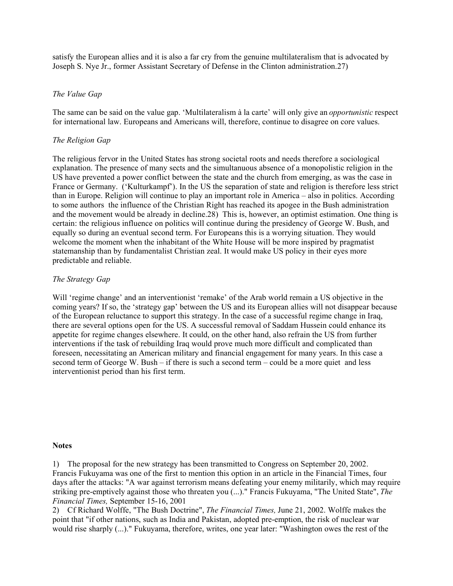satisfy the European allies and it is also a far cry from the genuine multilateralism that is advocated by Joseph S. Nye Jr., former Assistant Secretary of Defense in the Clinton administration.27)

#### *The Value Gap*

The same can be said on the value gap. 'Multilateralism à la carte' will only give an *opportunistic* respect for international law. Europeans and Americans will, therefore, continue to disagree on core values.

#### *The Religion Gap*

The religious fervor in the United States has strong societal roots and needs therefore a sociological explanation. The presence of many sects and the simultanuous absence of a monopolistic religion in the US have prevented a power conflict between the state and the church from emerging, as was the case in France or Germany. ('Kulturkampf'). In the US the separation of state and religion is therefore less strict than in Europe. Religion will continue to play an important role in America – also in politics. According to some authors the influence of the Christian Right has reached its apogee in the Bush administration and the movement would be already in decline.28) This is, however, an optimist estimation. One thing is certain: the religious influence on politics will continue during the presidency of George W. Bush, and equally so during an eventual second term. For Europeans this is a worrying situation. They would welcome the moment when the inhabitant of the White House will be more inspired by pragmatist statemanship than by fundamentalist Christian zeal. It would make US policy in their eyes more predictable and reliable.

#### *The Strategy Gap*

Will 'regime change' and an interventionist 'remake' of the Arab world remain a US objective in the coming years? If so, the 'strategy gap' between the US and its European allies will not disappear because of the European reluctance to support this strategy. In the case of a successful regime change in Iraq, there are several options open for the US. A successful removal of Saddam Hussein could enhance its appetite for regime changes elsewhere. It could, on the other hand, also refrain the US from further interventions if the task of rebuilding Iraq would prove much more difficult and complicated than foreseen, necessitating an American military and financial engagement for many years. In this case a second term of George W. Bush – if there is such a second term – could be a more quiet and less interventionist period than his first term.

#### **Notes**

1) The proposal for the new strategy has been transmitted to Congress on September 20, 2002. Francis Fukuyama was one of the first to mention this option in an article in the Financial Times, four days after the attacks: "A war against terrorism means defeating your enemy militarily, which may require striking pre-emptively against those who threaten you (...)." Francis Fukuyama, "The United State", *The Financial Times,* September 15-16, 2001

2) Cf Richard Wolffe, "The Bush Doctrine", *The Financial Times,* June 21, 2002. Wolffe makes the point that "if other nations, such as India and Pakistan, adopted pre-emption, the risk of nuclear war would rise sharply (...)." Fukuyama, therefore, writes, one year later: "Washington owes the rest of the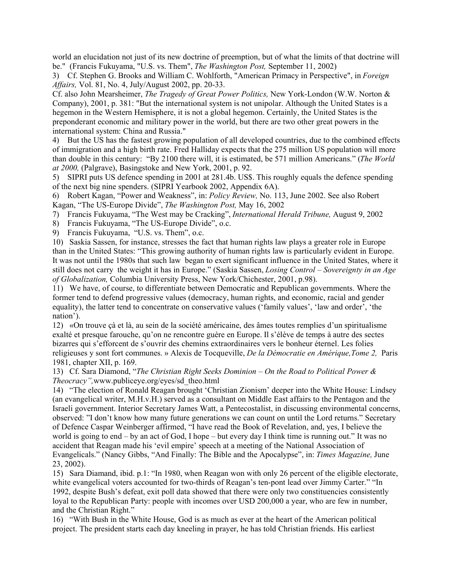world an elucidation not just of its new doctrine of preemption, but of what the limits of that doctrine will be." (Francis Fukuyama, "U.S. vs. Them", *The Washington Post,* September 11, 2002)

3) Cf. Stephen G. Brooks and William C. Wohlforth, "American Primacy in Perspective", in *Foreign Affairs,* Vol. 81, No. 4, July/August 2002, pp. 20-33.

Cf. also John Mearsheimer, *The Tragedy of Great Power Politics,* New York-London (W.W. Norton & Company), 2001, p. 381: "But the international system is not unipolar. Although the United States is a hegemon in the Western Hemisphere, it is not a global hegemon. Certainly, the United States is the preponderant economic and military power in the world, but there are two other great powers in the international system: China and Russia."

4) But the US has the fastest growing population of all developed countries, due to the combined effects of immigration and a high birth rate. Fred Halliday expects that the 275 million US population will more than double in this century: "By 2100 there will, it is estimated, be 571 million Americans." (*The World at 2000,* (Palgrave), Basingstoke and New York, 2001, p. 92.

5) SIPRI puts US defence spending in 2001 at 281.4b. US\$. This roughly equals the defence spending of the next big nine spenders. (SIPRI Yearbook 2002, Appendix 6A).

6) Robert Kagan, "Power and Weakness", in: *Policy Review,* No. 113, June 2002. See also Robert Kagan, "The US-Europe Divide", *The Washington Post,* May 16, 2002

7) Francis Fukuyama, "The West may be Cracking", *International Herald Tribune,* August 9, 2002

8) Francis Fukuyama, "The US-Europe Divide", o.c.

9) Francis Fukuyama, "U.S. vs. Them", o.c.

10) Saskia Sassen, for instance, stresses the fact that human rights law plays a greater role in Europe than in the United States: "This growing authority of human rights law is particularly evident in Europe. It was not until the 1980s that such law began to exert significant influence in the United States, where it still does not carry the weight it has in Europe." (Saskia Sassen, *Losing Control – Sovereignty in an Age of Globalization,* Columbia University Press, New York/Chichester, 2001, p.98).

11) We have, of course, to differentiate between Democratic and Republican governments. Where the former tend to defend progressive values (democracy, human rights, and economic, racial and gender equality), the latter tend to concentrate on conservative values ('family values', 'law and order', 'the nation').

12) «On trouve çà et là, au sein de la société américaine, des âmes toutes remplies d'un spiritualisme exalté et presque farouche, qu'on ne rencontre guère en Europe. Il s'élève de temps à autre des sectes bizarres qui s'efforcent de s'ouvrir des chemins extraordinaires vers le bonheur éternel. Les folies religieuses y sont fort communes. » Alexis de Tocqueville, *De la Démocratie en Amérique,Tome 2,* Paris 1981, chapter XII, p. 169.

13) Cf. Sara Diamond, "*The Christian Right Seeks Dominion – On the Road to Political Power & Theocracy",*www.publiceye.org/eyes/sd\_theo.html

14) "The election of Ronald Reagan brought 'Christian Zionism' deeper into the White House: Lindsey (an evangelical writer, M.H.v.H.) served as a consultant on Middle East affairs to the Pentagon and the Israeli government. Interior Secretary James Watt, a Pentecostalist, in discussing environmental concerns, observed: "I don't know how many future generations we can count on until the Lord returns." Secretary of Defence Caspar Weinberger affirmed, "I have read the Book of Revelation, and, yes, I believe the world is going to end – by an act of God, I hope – but every day I think time is running out." It was no accident that Reagan made his 'evil empire' speech at a meeting of the National Association of Evangelicals." (Nancy Gibbs, "And Finally: The Bible and the Apocalypse", in: *Times Magazine,* June 23, 2002).

15) Sara Diamand, ibid. p.1: "In 1980, when Reagan won with only 26 percent of the eligible electorate, white evangelical voters accounted for two-thirds of Reagan's ten-pont lead over Jimmy Carter." "In 1992, despite Bush's defeat, exit poll data showed that there were only two constituencies consistently loyal to the Republican Party: people with incomes over USD 200,000 a year, who are few in number, and the Christian Right."

16) "With Bush in the White House, God is as much as ever at the heart of the American political project. The president starts each day kneeling in prayer, he has told Christian friends. His earliest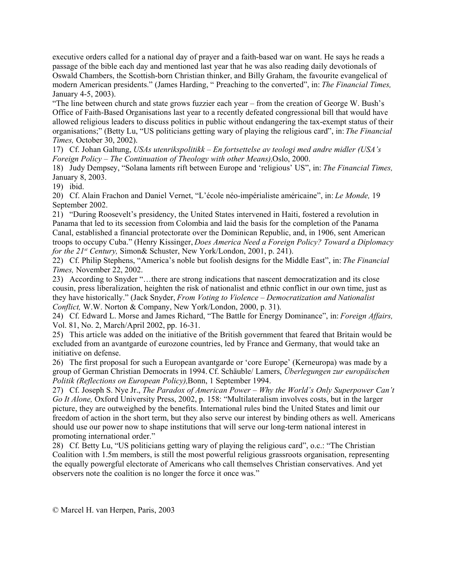executive orders called for a national day of prayer and a faith-based war on want. He says he reads a passage of the bible each day and mentioned last year that he was also reading daily devotionals of Oswald Chambers, the Scottish-born Christian thinker, and Billy Graham, the favourite evangelical of modern American presidents." (James Harding, " Preaching to the converted", in: *The Financial Times,* January 4-5, 2003).

"The line between church and state grows fuzzier each year – from the creation of George W. Bush's Office of Faith-Based Organisations last year to a recently defeated congressional bill that would have allowed religious leaders to discuss politics in public without endangering the tax-exempt status of their organisations;" (Betty Lu, "US politicians getting wary of playing the religious card", in: *The Financial Times,* October 30, 2002).

17) Cf. Johan Galtung, *USAs utenrikspolitikk – En fortsettelse av teologi med andre midler (USA's Foreign Policy – The Continuation of Theology with other Means),*Oslo, 2000.

18) Judy Dempsey, "Solana laments rift between Europe and 'religious' US", in: *The Financial Times,* January 8, 2003.

19) ibid.

20)Cf. Alain Frachon and Daniel Vernet, "L'école néo-impérialiste américaine", in: *Le Monde,* 19 September 2002.

21) "During Roosevelt's presidency, the United States intervened in Haiti, fostered a revolution in Panama that led to its secession from Colombia and laid the basis for the completion of the Panama Canal, established a financial protectorate over the Dominican Republic, and, in 1906, sent American troops to occupy Cuba." (Henry Kissinger, *Does America Need a Foreign Policy? Toward a Diplomacy for the 21st Century,* Simon& Schuster, New York/London, 2001, p. 241).

22) Cf. Philip Stephens, "America's noble but foolish designs for the Middle East", in: *The Financial Times,* November 22, 2002.

23) According to Snyder "…there are strong indications that nascent democratization and its close cousin, press liberalization, heighten the risk of nationalist and ethnic conflict in our own time, just as they have historically." (Jack Snyder, *From Voting to Violence – Democratization and Nationalist Conflict,* W.W. Norton & Company, New York/London, 2000, p. 31).

24) Cf. Edward L. Morse and James Richard, "The Battle for Energy Dominance", in: *Foreign Affairs,* Vol. 81, No. 2, March/April 2002, pp. 16-31.

25) This article was added on the initiative of the British government that feared that Britain would be excluded from an avantgarde of eurozone countries, led by France and Germany, that would take an initiative on defense.

26) The first proposal for such a European avantgarde or 'core Europe' (Kerneuropa) was made by a group of German Christian Democrats in 1994. Cf. Schäuble/ Lamers, *Überlegungen zur europäischen Politik (Reflections on European Policy),*Bonn, 1 September 1994.

27) Cf. Joseph S. Nye Jr., *The Paradox of American Power – Why the World's Only Superpower Can't Go It Alone,* Oxford University Press, 2002, p. 158: "Multilateralism involves costs, but in the larger picture, they are outweighed by the benefits. International rules bind the United States and limit our freedom of action in the short term, but they also serve our interest by binding others as well. Americans should use our power now to shape institutions that will serve our long-term national interest in promoting international order."

28) Cf. Betty Lu, "US politicians getting wary of playing the religious card", o.c.: "The Christian Coalition with 1.5m members, is still the most powerful religious grassroots organisation, representing the equally powergful electorate of Americans who call themselves Christian conservatives. And yet observers note the coalition is no longer the force it once was."